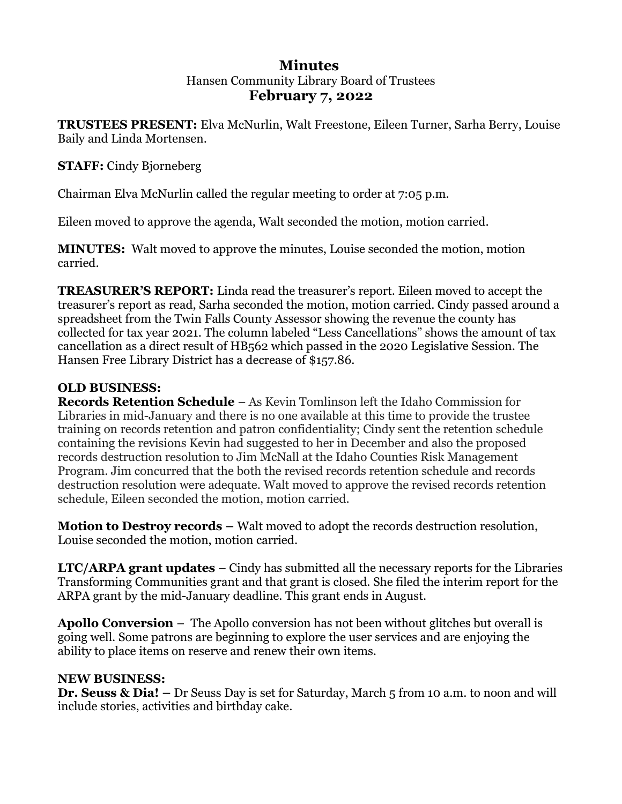# **Minutes**  Hansen Community Library Board of Trustees **February 7, 2022**

**TRUSTEES PRESENT:** Elva McNurlin, Walt Freestone, Eileen Turner, Sarha Berry, Louise Baily and Linda Mortensen.

# **STAFF:** Cindy Bjorneberg

Chairman Elva McNurlin called the regular meeting to order at 7:05 p.m.

Eileen moved to approve the agenda, Walt seconded the motion, motion carried.

**MINUTES:** Walt moved to approve the minutes, Louise seconded the motion, motion carried.

**TREASURER'S REPORT:** Linda read the treasurer's report. Eileen moved to accept the treasurer's report as read, Sarha seconded the motion, motion carried. Cindy passed around a spreadsheet from the Twin Falls County Assessor showing the revenue the county has collected for tax year 2021. The column labeled "Less Cancellations" shows the amount of tax cancellation as a direct result of HB562 which passed in the 2020 Legislative Session. The Hansen Free Library District has a decrease of \$157.86.

# **OLD BUSINESS:**

**Records Retention Schedule** – As Kevin Tomlinson left the Idaho Commission for Libraries in mid-January and there is no one available at this time to provide the trustee training on records retention and patron confidentiality; Cindy sent the retention schedule containing the revisions Kevin had suggested to her in December and also the proposed records destruction resolution to Jim McNall at the Idaho Counties Risk Management Program. Jim concurred that the both the revised records retention schedule and records destruction resolution were adequate. Walt moved to approve the revised records retention schedule, Eileen seconded the motion, motion carried.

**Motion to Destroy records –** Walt moved to adopt the records destruction resolution, Louise seconded the motion, motion carried.

**LTC/ARPA grant updates** – Cindy has submitted all the necessary reports for the Libraries Transforming Communities grant and that grant is closed. She filed the interim report for the ARPA grant by the mid-January deadline. This grant ends in August.

**Apollo Conversion** – The Apollo conversion has not been without glitches but overall is going well. Some patrons are beginning to explore the user services and are enjoying the ability to place items on reserve and renew their own items.

# **NEW BUSINESS:**

**Dr. Seuss & Dia! –** Dr Seuss Day is set for Saturday, March 5 from 10 a.m. to noon and will include stories, activities and birthday cake.